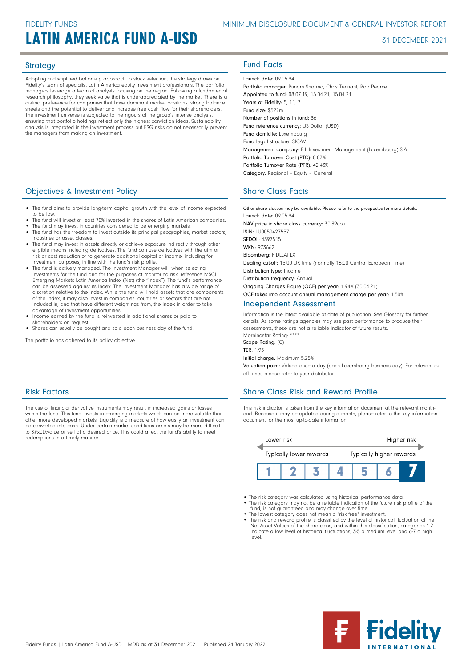# LATIN AMERICA FUND A-USD 31 DECEMBER 2021

Adopting a disciplined bottom-up approach to stock selection, the strategy draws on Fidelity's team of specialist Latin America equity investment professionals. The portfolio managers leverage a team of analysts focusing on the region. Following a fundamental research philosophy, they seek value that is underappreciated by the market. There is a distinct preference for companies that have dominant market positions, strong balance sheets and the potential to deliver and increase free cash flow for their shareholders. The investment universe is subjected to the rigours of the group's intense analysis, ensuring that portfolio holdings reflect only the highest conviction ideas. Sustainability analysis is integrated in the investment process but ESG risks do not necessarily prevent the managers from making an investment.

## **Objectives & Investment Policy Share Class Facts** Share Class Facts

- The fund aims to provide long-term capital growth with the level of income expected to be low.
- The fund will invest at least 70% invested in the shares of Latin American companies.
- The fund may invest in countries considered to be emerging markets.
- The fund has the freedom to invest outside its principal geographies, market sectors, industries or asset classes.
- The fund may invest in assets directly or achieve exposure indirectly through other eligible means including derivatives. The fund can use derivatives with the aim of risk or cost reduction or to generate additional capital or income, including for investment purposes, in line with the fund's risk profile.
- The fund is actively managed. The Investment Manager will, when selecting<br>investments for the fund and for the purposes of monitoring risk, reference MSCI<br>Emerging Markets Latin America Index (Net) (the "Index"). The fun can be assessed against its Index. The Investment Manager has a wide range of discretion relative to the Index. While the fund will hold assets that are components of the Index, it may also invest in companies, countries or sectors that are not included in, and that have different weightings from, the Index in order to take advantage of investment opportunities.
- Income earned by the fund is reinvested in additional shares or paid to shareholders on request.
- Shares can usually be bought and sold each business day of the fund.

The portfolio has adhered to its policy objective.

## Risk Factors

The use of financial derivative instruments may result in increased gains or losses within the fund. This fund invests in emerging markets which can be more volatile than other more developed markets. Liquidity is a measure of how easily an investment can be converted into cash. Under certain market conditions assets may be more difficult<br>to &#x0D;value or sell at a desired price. This could affect the fund's ability to meet redemptions in a timely manner.

# Strategy **Fund Facts**

Launch date: 09.05.94 Portfolio manager: Punam Sharma, Chris Tennant, Rob Pearce Appointed to fund: 08.07.19, 15.04.21, 15.04.21 Years at Fidelity: 5, 11, 7 Fund size: \$522m Number of positions in fund: 36 Fund reference currency: US Dollar (USD) Fund domicile: Luxembourg Fund legal structure: SICAV Management company: FIL Investment Management (Luxembourg) S.A. Portfolio Turnover Cost (PTC): 0.07% Portfolio Turnover Rate (PTR): 42.43% Category: Regional – Equity – General

Other share classes may be available. Please refer to the prospectus for more details. Launch date: 09.05.94 NAV price in share class currency: 30.39cpu ISIN: LU0050427557 SEDOL: 4397515 WKN: 973662 Bloomberg: FIDLLAI LX Dealing cut-off: 15:00 UK time (normally 16:00 Central European Time) Distribution type: Income Distribution frequency: Annual Ongoing Charges Figure (OCF) per year: 1.94% (30.04.21) OCF takes into account annual management charge per year: 1.50% Independent Assessment

Information is the latest available at date of publication. See Glossary for further details. As some ratings agencies may use past performance to produce their assessments, these are not a reliable indicator of future results. Morningstar Rating: \*\*\*\*

Scope Rating: (C)

TER: 1.93

Initial charge: Maximum 5.25%

Valuation point: Valued once a day (each Luxembourg business day). For relevant cutoff times please refer to your distributor.

## Share Class Risk and Reward Profile

This risk indicator is taken from the key information document at the relevant monthend. Because it may be updated during a month, please refer to the key information document for the most up-to-date information.



- The risk category was calculated using historical performance data.
- The risk category may not be a reliable indication of the future risk profile of the fund, is not guaranteed and may change over time. The lowest category does not mean a "risk free" investment.
- 
- The risk and reward profile is classified by the level of historical fluctuation of the Net Asset Values of the share class, and within this classification, categories 1-2 indicate a low level of historical fluctuations, 3-5 a medium level and 6-7 a high level.

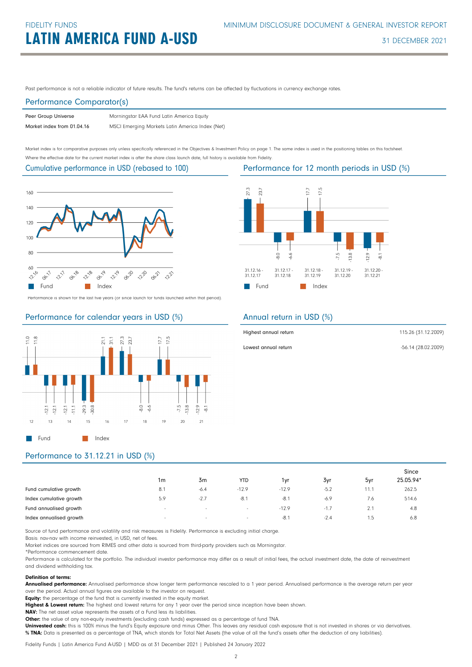Past performance is not a reliable indicator of future results. The fund's returns can be affected by fluctuations in currency exchange rates.

#### Performance Comparator(s)

| Peer Group Universe        | Morningstar EAA Fund Latin America Equity       |
|----------------------------|-------------------------------------------------|
| Market index from 01.04.16 | MSCI Emerging Markets Latin America Index (Net) |

Market index is for comparative purposes only unless specifically referenced in the Objectives & Investment Policy on page 1. The same index is used in the positioning tables on this factsheet. Where the effective date for the current market index is after the share class launch date, full history is available from Fidelity.

Cumulative performance in USD (rebased to 100)



Performance is shown for the last five years (or since launch for funds launched within that period).

### Performance for calendar years in USD (%)





### Annual return in USD (%)

| Highest annual return | 115.26 (31.12.2009) |
|-----------------------|---------------------|
| Lowest annual return  | -56.14 (28.02.2009) |

## Performance to 31.12.21 in USD (%)

|                         |                          |                          |            |         |        |      | Since     |
|-------------------------|--------------------------|--------------------------|------------|---------|--------|------|-----------|
|                         | 1 <sub>m</sub>           | 3m                       | <b>YTD</b> | 1yr     | 3yr    | 5yr  | 25.05.94* |
| Fund cumulative growth  | 8.1                      | $-6.4$                   | $-12.9$    | $-12.9$ | $-5.2$ | 11.7 | 262.5     |
| Index cumulative growth | 5.9                      | $-2.7$                   | $-8.1$     | $-8.1$  | $-6.9$ | 7.6  | 514.6     |
| Fund annualised growth  | $\overline{\phantom{a}}$ | $\overline{\phantom{a}}$ | $\sim$     | $-12.9$ | -1.7   | z.   | 4.8       |
| Index annualised growth | $\sim$                   | $\sim$                   | $\sim$     | $-8.1$  | $-2.4$ | 5. ا | 6.8       |

Source of fund performance and volatility and risk measures is Fidelity. Performance is excluding initial charge.

Basis: nav-nav with income reinvested, in USD, net of fees.

Market indices are sourced from RIMES and other data is sourced from third-party providers such as Morningstar.

\*Performance commencement date.

Performance is calculated for the portfolio. The individual investor performance may differ as a result of initial fees, the actual investment date, the date of reinvestment and dividend withholding tax.

#### Definition of terms:

Annualised performance: Annualised performance show longer term performance rescaled to a 1 year period. Annualised performance is the average return per year over the period. Actual annual figures are available to the investor on request.

Equity: the percentage of the fund that is currently invested in the equity market.

Highest & Lowest return: The highest and lowest returns for any 1 year over the period since inception have been shown.

NAV: The net asset value represents the assets of a Fund less its liabilities.

Other: the value of any non-equity investments (excluding cash funds) expressed as a percentage of fund TNA.

Uninvested cash: this is 100% minus the fund's Equity exposure and minus Other. This leaves any residual cash exposure that is not invested in shares or via derivatives. % TNA: Data is presented as a percentage of TNA, which stands for Total Net Assets (the value of all the fund's assets after the deduction of any liabilities).

Fidelity Funds | Latin America Fund A-USD | MDD as at 31 December 2021 | Published 24 January 2022

Performance for 12 month periods in USD (%)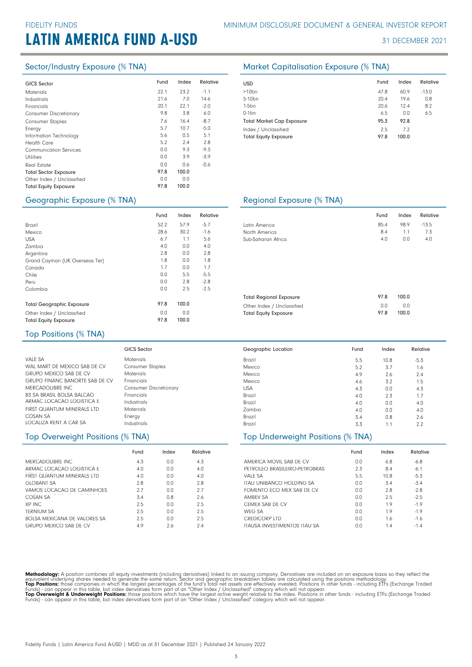|                               | Fund | Index | Relative |            |
|-------------------------------|------|-------|----------|------------|
| <b>GICS Sector</b>            |      |       |          | <b>USD</b> |
| <b>Materials</b>              | 22.1 | 23.2  | $-1.1$   | >10        |
| Industrials                   | 21.6 | 7.0   | 14.6     | $5 - 10$   |
| Financials                    | 20.1 | 22.1  | $-2.0$   | $1-5b$     |
| <b>Consumer Discretionary</b> | 9.8  | 3.8   | 6.0      | $0-1b$     |
| <b>Consumer Staples</b>       | 7.6  | 16.4  | $-8.7$   | Totc       |
| Energy                        | 5.7  | 10.7  | $-5.0$   | Inde       |
| Information Technology        | 5.6  | 0.5   | 5.1      | Totc       |
| <b>Health Care</b>            | 5.2  | 2.4   | 2.8      |            |
| <b>Communication Services</b> | 0.0  | 9.3   | $-9.3$   |            |
| <b>Utilities</b>              | 0.0  | 3.9   | $-3.9$   |            |
| Real Estate                   | 0.0  | 0.6   | $-0.6$   |            |
| <b>Total Sector Exposure</b>  | 97.8 | 100.0 |          |            |
| Other Index / Unclassified    | 0.0  | 0.0   |          |            |
| <b>Total Equity Exposure</b>  | 97.8 | 100.0 |          |            |
|                               |      |       |          |            |

#### Sector/Industry Exposure (% TNA) Market Capitalisation Exposure (% TNA)

| <b>USD</b>                                           | Fund        | Index        | Relative |
|------------------------------------------------------|-------------|--------------|----------|
| $>10$ bn                                             | 47.8        | 60.9         | $-13.0$  |
| 5-10 <sub>bn</sub>                                   | 20.4        | 19.6         | 0.8      |
| $1-5$ bn                                             | 20.6        | 12.4         | 8.2      |
| $0-1$ bn                                             | 6.5         | 0.0          | 6.5      |
| <b>Total Market Cap Exposure</b>                     | 95.3        | 92.8         |          |
| Index / Unclassified<br><b>Total Equity Exposure</b> | 2.5<br>97.8 | 7.2<br>100.0 |          |

#### Geographic Exposure (% TNA) Regional Exposure (% TNA)

|                                  | Fund | Index | Relative |  |
|----------------------------------|------|-------|----------|--|
| Brazil                           | 52.2 | 57.9  | $-5.7$   |  |
| Mexico                           | 28.6 | 30.2  | $-1.6$   |  |
| <b>USA</b>                       | 6.7  | 1.1   | 5.6      |  |
| Zambia                           | 4.0  | 0.0   | 4.0      |  |
| Argentina                        | 2.8  | 0.0   | 2.8      |  |
| Grand Cayman (UK Overseas Ter)   | 1.8  | 0.0   | 1.8      |  |
| Canada                           | 1.7  | 0.0   | 1.7      |  |
| Chile                            | 0.0  | 5.5   | $-5.5$   |  |
| Peru                             | 0.0  | 2.8   | $-2.8$   |  |
| Colombia                         | 0.0  | 2.5   | $-2.5$   |  |
|                                  |      |       |          |  |
| <b>Total Geographic Exposure</b> | 97.8 | 100.0 |          |  |
| Other Index / Unclassified       | 0.0  | 0.0   |          |  |
| <b>Total Equity Exposure</b>     | 97.8 | 100.0 |          |  |

|                    | Fund | Index | Relative |
|--------------------|------|-------|----------|
| Latin America      | 85.4 | 98.9  | $-13.5$  |
| North America      | 8.4  | 1.1   | 73       |
| Sub-Saharan Africa | 4.0  | n n   | 4.0      |
|                    |      |       |          |
|                    |      |       |          |

| <b>Total Regional Exposure</b> | 978 | 100.0 |
|--------------------------------|-----|-------|
| Other Index / Unclassified     | n n | 0.0   |
| <b>Total Equity Exposure</b>   | 978 | 100.0 |

### Top Positions (% TNA)

|                                       | <b>GICS Sector</b>            | Geographic Location | Fund | Index | Relative |
|---------------------------------------|-------------------------------|---------------------|------|-------|----------|
| VALF SA                               | <b>Materials</b>              | Brazil              | 5.5  | 10.8  | $-5.3$   |
| WAL MART DE MEXICO SAB DE CV          | <b>Consumer Staples</b>       | Mexico              | 5.2  | 3.7   | 1.6      |
| <b>GRUPO MEXICO SAB DE CV</b>         | <b>Materials</b>              | Mexico              | 4.9  | 2.6   | 2.4      |
| <b>GRUPO FINANC BANORTE SAB DE CV</b> | <b>Financials</b>             | Mexico              | 4.6  | 3.2   | 1.5      |
| MERCADOLIBRE INC.                     | <b>Consumer Discretionary</b> | <b>USA</b>          | 4.3  | 0.0   | 4.3      |
| <b>B3 SA BRASIL BOLSA BALCAO</b>      | <b>Financials</b>             | Brazil              | 4.0  | 2.3   |          |
| ARMAC LOCACAO LOGISTICA F             | Industrials                   | Brazil              | 4.0  | 0.0   | 4.0      |
| FIRST QUANTUM MINERALS LTD            | <b>Materials</b>              | Zambia              | 4.0  | 0.0   | 4.0      |
| COSAN SA                              | Energy                        | Brazil              | 3.4  | 0.8   | 2.6      |
| LOCALIZA RENT A CAR SA                | Industrials                   | Brazil              | 3.3  |       | 2.2      |

#### Top Overweight Positions (% TNA) Top Underweight Positions (% TNA)

|                               | Fund | Index | Relative |
|-------------------------------|------|-------|----------|
| MERCADOLIBRE INC.             | 4.3  | 0.0   | 4.3      |
| ARMAC LOCACAO LOGISTICA F     | 4.0  | 0.0   | 4.0      |
| FIRST QUANTUM MINERALS LTD    | 4.0  | 0.0   | 4.0      |
| <b>GLOBANT SA</b>             | 2.8  | 0.0   | 2.8      |
| VAMOS LOCACAO DE CAMINHOES    | 2.7  | 0.0   | 2.7      |
| COSAN SA                      | 3.4  | 0.8   | 2.6      |
| XP INC                        | 2.5  | n n   | 2.5      |
| <b>TERNIUM SA</b>             | 2.5  | 0.0   | 2.5      |
| ROLSA MEXICANA DE VALORES SA  | 2.5  | 0.0   | 2.5      |
| <b>GRUPO MEXICO SAB DE CV</b> | 4.9  | 2.6   | 7.4      |

# Brazil 1.1 3.3 2.2

|                               | Fund | Index | Relative |
|-------------------------------|------|-------|----------|
| AMERICA MOVIL SAB DE CV       | 0.0  | 6.8   | $-6.8$   |
| PETROLEO BRASILEIRO-PETROBRAS | 2.3  | 8.4   | $-6.1$   |
| VALF SA                       | 5.5  | 10.8  | $-5.3$   |
| ITAU UNIBANCO HOLDING SA      | 0.0  | 3.4   | $-5.4$   |
| FOMENTO FCO MEX SAB DE CV     | 0.0  | 2.8   | $-2.8$   |
| <b>AMREV SA</b>               | 0.0  | 2.5   | $-2.5$   |
| CEMEX SAB DE CV               | 0.0  | 1.9   | $-1.9$   |
| WFG SA                        | 0.0  | 1.9   | $-1.9$   |
| <b>CREDICORP LTD</b>          | 0.0  | 1.6   | $-1.6$   |
| ITAUSA INVESTIMENTOS ITAU SA  | n n  | 1.4   | $-1.4$   |

Methodology: A position combines all equity investments (including derivatives) linked to an issuing company. Derivatives are included on an exposure basis so they reflect the<br>equivalent underlying shares needed to generat